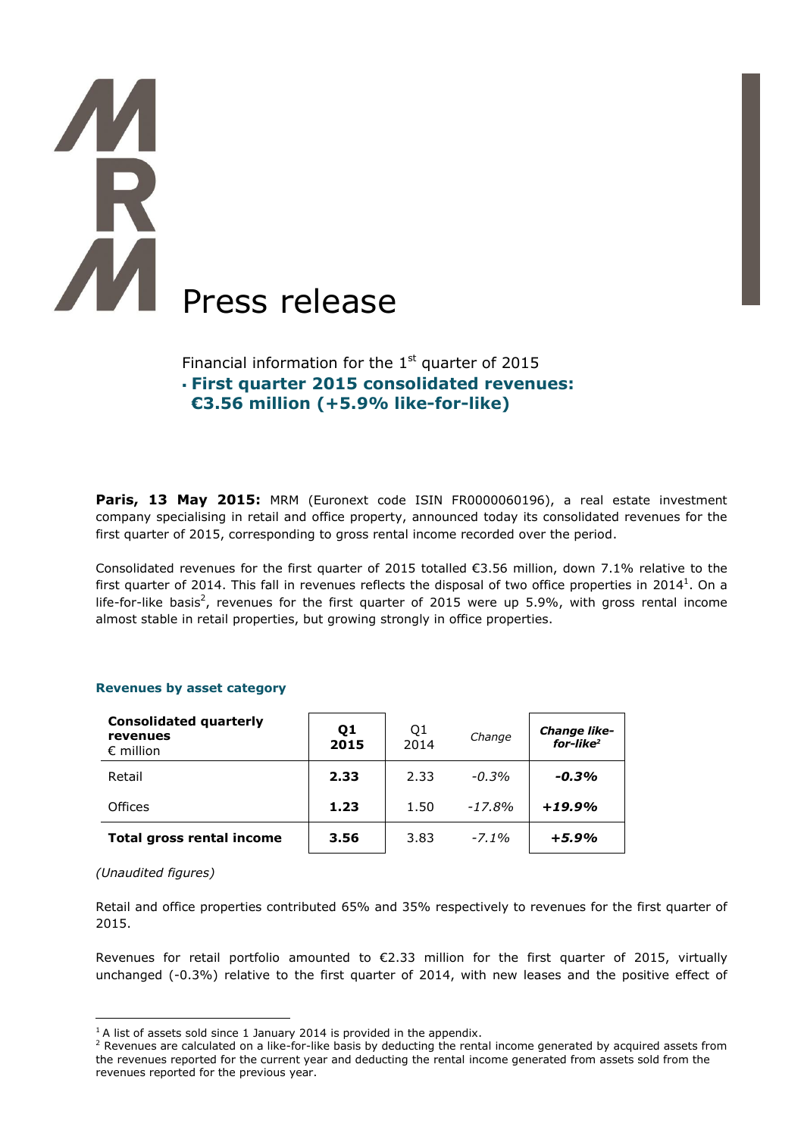# Press release

Financial information for the  $1<sup>st</sup>$  quarter of 2015 **First quarter 2015 consolidated revenues: €3.56 million (+5.9% like-for-like)**

**Paris, 13 May 2015:** MRM (Euronext code ISIN FR0000060196), a real estate investment company specialising in retail and office property, announced today its consolidated revenues for the first quarter of 2015, corresponding to gross rental income recorded over the period.

Consolidated revenues for the first quarter of 2015 totalled €3.56 million, down 7.1% relative to the first quarter of 2014. This fall in revenues reflects the disposal of two office properties in 2014<sup>1</sup>. On a life-for-like basis<sup>2</sup>, revenues for the first quarter of 2015 were up 5.9%, with gross rental income almost stable in retail properties, but growing strongly in office properties.

# **Revenues by asset category**

| <b>Consolidated quarterly</b><br>revenues<br>$\epsilon$ million | Q <sub>1</sub><br>2015 | Q <sub>1</sub><br>2014 | Change   | <b>Change like-</b><br>for-like <sup>2</sup> |
|-----------------------------------------------------------------|------------------------|------------------------|----------|----------------------------------------------|
| Retail                                                          | 2.33                   | 2.33                   | $-0.3%$  | $-0.3\%$                                     |
| <b>Offices</b>                                                  | 1.23                   | 1.50                   | $-17.8%$ | $+19.9%$                                     |
| Total gross rental income                                       | 3.56                   | 3.83                   | $-7.1\%$ | $+5.9%$                                      |

## *(Unaudited figures)*

 $\overline{a}$ 

Retail and office properties contributed 65% and 35% respectively to revenues for the first quarter of 2015.

Revenues for retail portfolio amounted to  $\epsilon$ 2.33 million for the first quarter of 2015, virtually unchanged (-0.3%) relative to the first quarter of 2014, with new leases and the positive effect of

 $1$ <sup>1</sup> A list of assets sold since 1 January 2014 is provided in the appendix.

 $<sup>2</sup>$  Revenues are calculated on a like-for-like basis by deducting the rental income generated by acquired assets from</sup> the revenues reported for the current year and deducting the rental income generated from assets sold from the revenues reported for the previous year.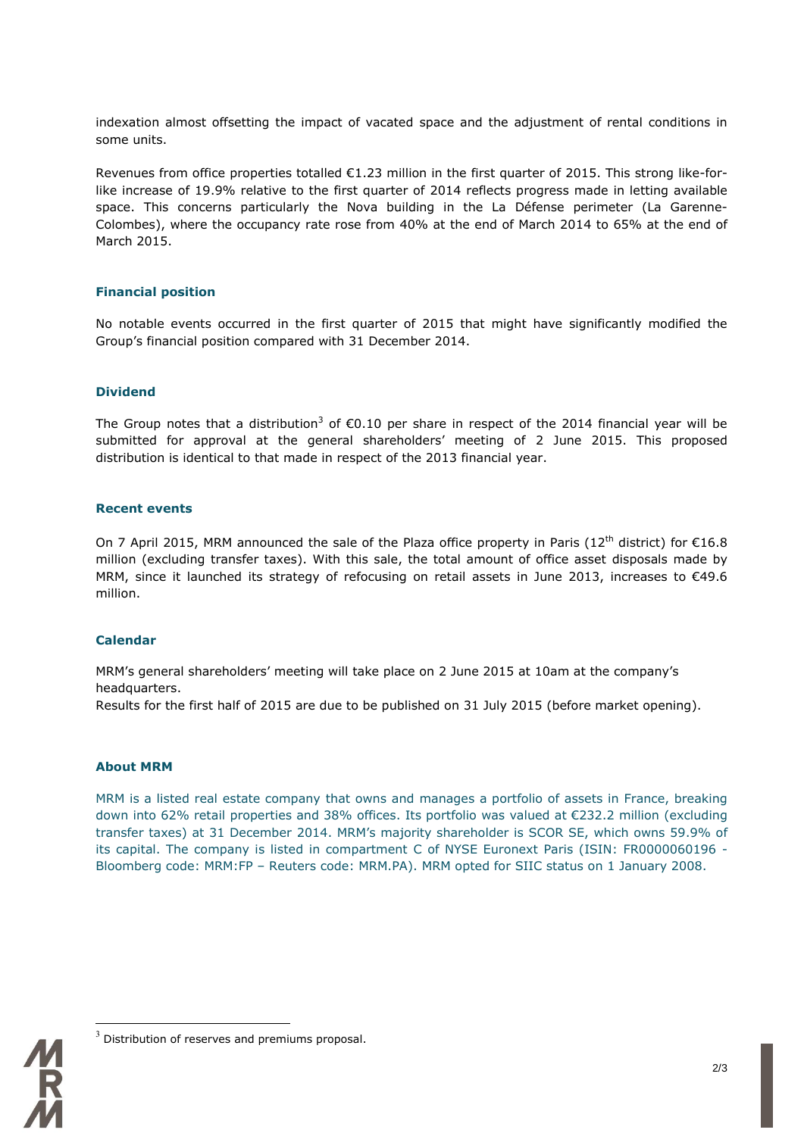indexation almost offsetting the impact of vacated space and the adjustment of rental conditions in some units.

Revenues from office properties totalled €1.23 million in the first quarter of 2015. This strong like-forlike increase of 19.9% relative to the first quarter of 2014 reflects progress made in letting available space. This concerns particularly the Nova building in the La Défense perimeter (La Garenne-Colombes), where the occupancy rate rose from 40% at the end of March 2014 to 65% at the end of March 2015.

# **Financial position**

No notable events occurred in the first quarter of 2015 that might have significantly modified the Group's financial position compared with 31 December 2014.

# **Dividend**

The Group notes that a distribution<sup>3</sup> of  $\epsilon$ 0.10 per share in respect of the 2014 financial year will be submitted for approval at the general shareholders' meeting of 2 June 2015. This proposed distribution is identical to that made in respect of the 2013 financial year.

### **Recent events**

On 7 April 2015, MRM announced the sale of the Plaza office property in Paris (12<sup>th</sup> district) for  $\epsilon$ 16.8 million (excluding transfer taxes). With this sale, the total amount of office asset disposals made by MRM, since it launched its strategy of refocusing on retail assets in June 2013, increases to €49.6 million.

## **Calendar**

MRM's general shareholders' meeting will take place on 2 June 2015 at 10am at the company's headquarters.

Results for the first half of 2015 are due to be published on 31 July 2015 (before market opening).

### **About MRM**

MRM is a listed real estate company that owns and manages a portfolio of assets in France, breaking down into 62% retail properties and 38% offices. Its portfolio was valued at €232.2 million (excluding transfer taxes) at 31 December 2014. MRM's majority shareholder is SCOR SE, which owns 59.9% of its capital. The company is listed in compartment C of NYSE Euronext Paris (ISIN: FR0000060196 - Bloomberg code: MRM:FP – Reuters code: MRM.PA). MRM opted for SIIC status on 1 January 2008.



 $\overline{a}$ 

 $3$  Distribution of reserves and premiums proposal.